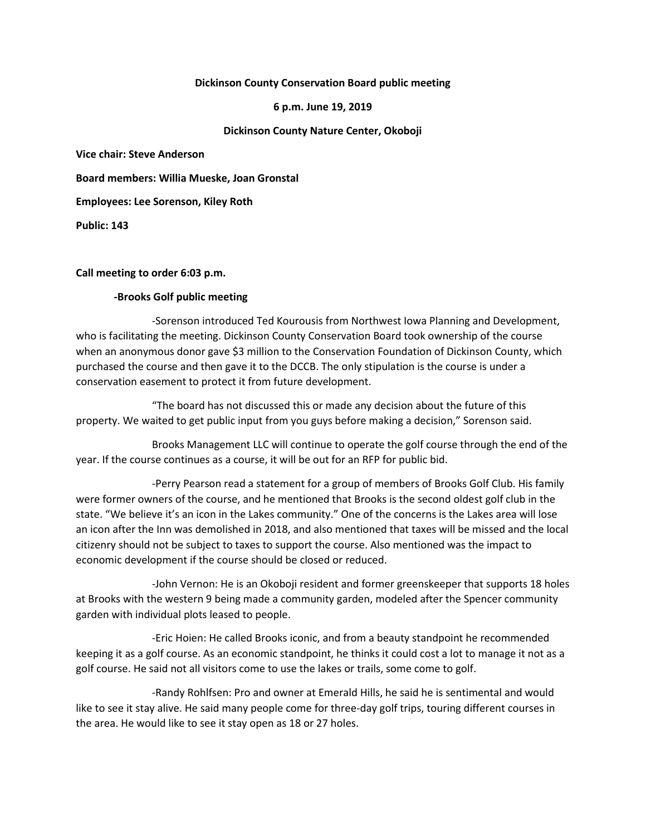### **Dickinson County Conservation Board public meeting**

### **6 p.m. June 19, 2019**

# **Dickinson County Nature Center, Okoboji**

**Vice chair: Steve Anderson**

**Board members: Willia Mueske, Joan Gronstal**

**Employees: Lee Sorenson, Kiley Roth**

**Public: 143**

# **Call meeting to order 6:03 p.m.**

# **-Brooks Golf public meeting**

-Sorenson introduced Ted Kourousis from Northwest Iowa Planning and Development, who is facilitating the meeting. Dickinson County Conservation Board took ownership of the course when an anonymous donor gave \$3 million to the Conservation Foundation of Dickinson County, which purchased the course and then gave it to the DCCB. The only stipulation is the course is under a conservation easement to protect it from future development.

"The board has not discussed this or made any decision about the future of this property. We waited to get public input from you guys before making a decision," Sorenson said.

Brooks Management LLC will continue to operate the golf course through the end of the year. If the course continues as a course, it will be out for an RFP for public bid.

-Perry Pearson read a statement for a group of members of Brooks Golf Club. His family were former owners of the course, and he mentioned that Brooks is the second oldest golf club in the state. "We believe it's an icon in the Lakes community." One of the concerns is the Lakes area will lose an icon after the Inn was demolished in 2018, and also mentioned that taxes will be missed and the local citizenry should not be subject to taxes to support the course. Also mentioned was the impact to economic development if the course should be closed or reduced.

-John Vernon: He is an Okoboji resident and former greenskeeper that supports 18 holes at Brooks with the western 9 being made a community garden, modeled after the Spencer community garden with individual plots leased to people.

-Eric Hoien: He called Brooks iconic, and from a beauty standpoint he recommended keeping it as a golf course. As an economic standpoint, he thinks it could cost a lot to manage it not as a golf course. He said not all visitors come to use the lakes or trails, some come to golf.

-Randy Rohlfsen: Pro and owner at Emerald Hills, he said he is sentimental and would like to see it stay alive. He said many people come for three-day golf trips, touring different courses in the area. He would like to see it stay open as 18 or 27 holes.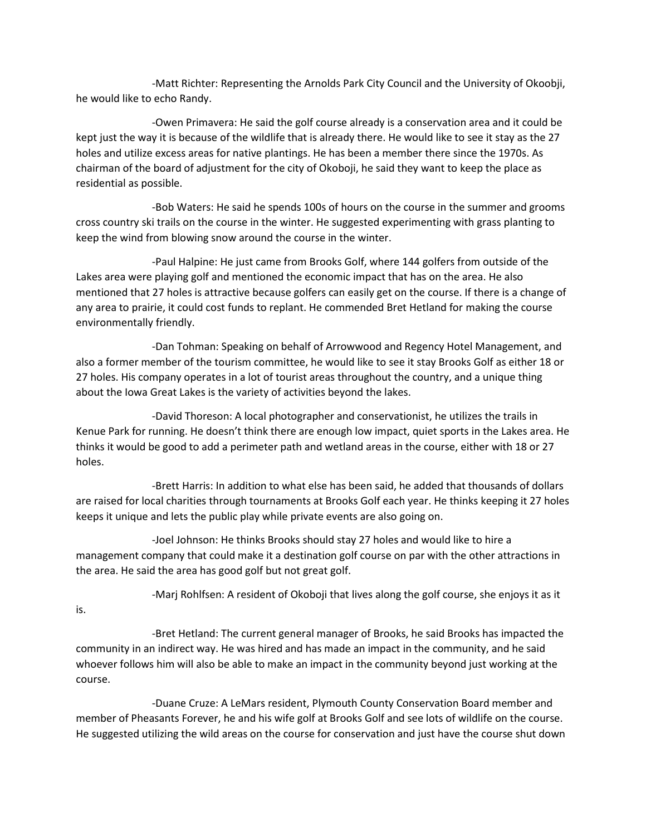-Matt Richter: Representing the Arnolds Park City Council and the University of Okoobji, he would like to echo Randy.

-Owen Primavera: He said the golf course already is a conservation area and it could be kept just the way it is because of the wildlife that is already there. He would like to see it stay as the 27 holes and utilize excess areas for native plantings. He has been a member there since the 1970s. As chairman of the board of adjustment for the city of Okoboji, he said they want to keep the place as residential as possible.

-Bob Waters: He said he spends 100s of hours on the course in the summer and grooms cross country ski trails on the course in the winter. He suggested experimenting with grass planting to keep the wind from blowing snow around the course in the winter.

-Paul Halpine: He just came from Brooks Golf, where 144 golfers from outside of the Lakes area were playing golf and mentioned the economic impact that has on the area. He also mentioned that 27 holes is attractive because golfers can easily get on the course. If there is a change of any area to prairie, it could cost funds to replant. He commended Bret Hetland for making the course environmentally friendly.

-Dan Tohman: Speaking on behalf of Arrowwood and Regency Hotel Management, and also a former member of the tourism committee, he would like to see it stay Brooks Golf as either 18 or 27 holes. His company operates in a lot of tourist areas throughout the country, and a unique thing about the Iowa Great Lakes is the variety of activities beyond the lakes.

-David Thoreson: A local photographer and conservationist, he utilizes the trails in Kenue Park for running. He doesn't think there are enough low impact, quiet sports in the Lakes area. He thinks it would be good to add a perimeter path and wetland areas in the course, either with 18 or 27 holes.

-Brett Harris: In addition to what else has been said, he added that thousands of dollars are raised for local charities through tournaments at Brooks Golf each year. He thinks keeping it 27 holes keeps it unique and lets the public play while private events are also going on.

-Joel Johnson: He thinks Brooks should stay 27 holes and would like to hire a management company that could make it a destination golf course on par with the other attractions in the area. He said the area has good golf but not great golf.

is.

-Marj Rohlfsen: A resident of Okoboji that lives along the golf course, she enjoys it as it

-Bret Hetland: The current general manager of Brooks, he said Brooks has impacted the community in an indirect way. He was hired and has made an impact in the community, and he said whoever follows him will also be able to make an impact in the community beyond just working at the course.

-Duane Cruze: A LeMars resident, Plymouth County Conservation Board member and member of Pheasants Forever, he and his wife golf at Brooks Golf and see lots of wildlife on the course. He suggested utilizing the wild areas on the course for conservation and just have the course shut down